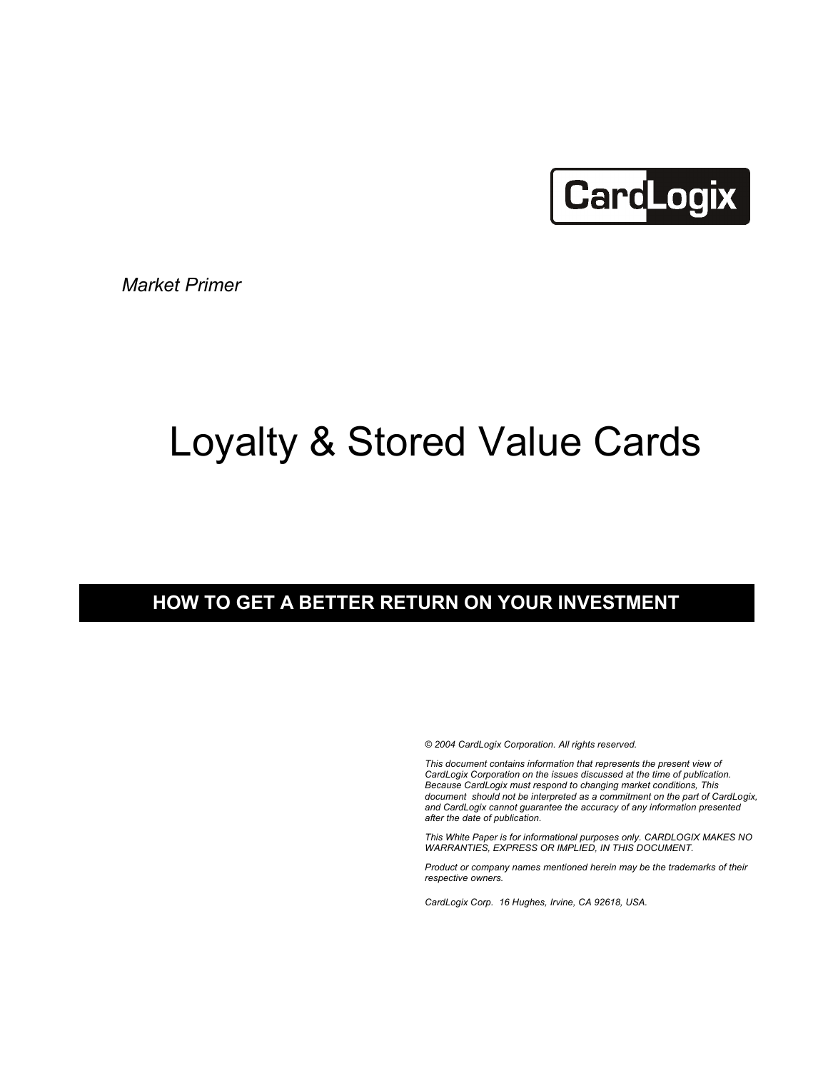

*Market Primer*

# Loyalty & Stored Value Cards

## **HOW TO GET A BETTER RETURN ON YOUR INVESTMENT**

*© 2004 CardLogix Corporation. All rights reserved.*

*This document contains information that represents the present view of CardLogix Corporation on the issues discussed at the time of publication. Because CardLogix must respond to changing market conditions, This document should not be interpreted as a commitment on the part of CardLogix, and CardLogix cannot guarantee the accuracy of any information presented after the date of publication.*

*This White Paper is for informational purposes only. CARDLOGIX MAKES NO WARRANTIES, EXPRESS OR IMPLIED, IN THIS DOCUMENT.*

*Product or company names mentioned herein may be the trademarks of their respective owners.*

*CardLogix Corp. 16 Hughes, Irvine, CA 92618, USA.*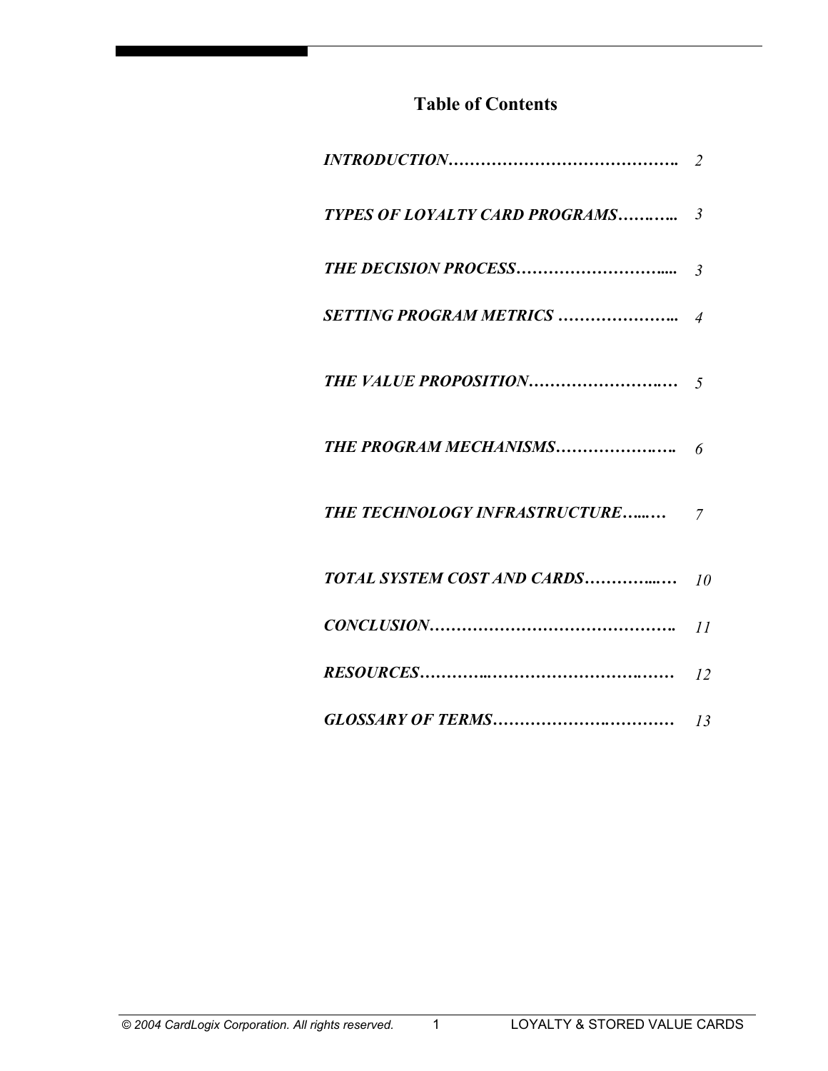# **Table of Contents**

| THE TECHNOLOGY INFRASTRUCTURE 7       |  |
|---------------------------------------|--|
| <b>TOTAL SYSTEM COST AND CARDS</b> 10 |  |
|                                       |  |
|                                       |  |
|                                       |  |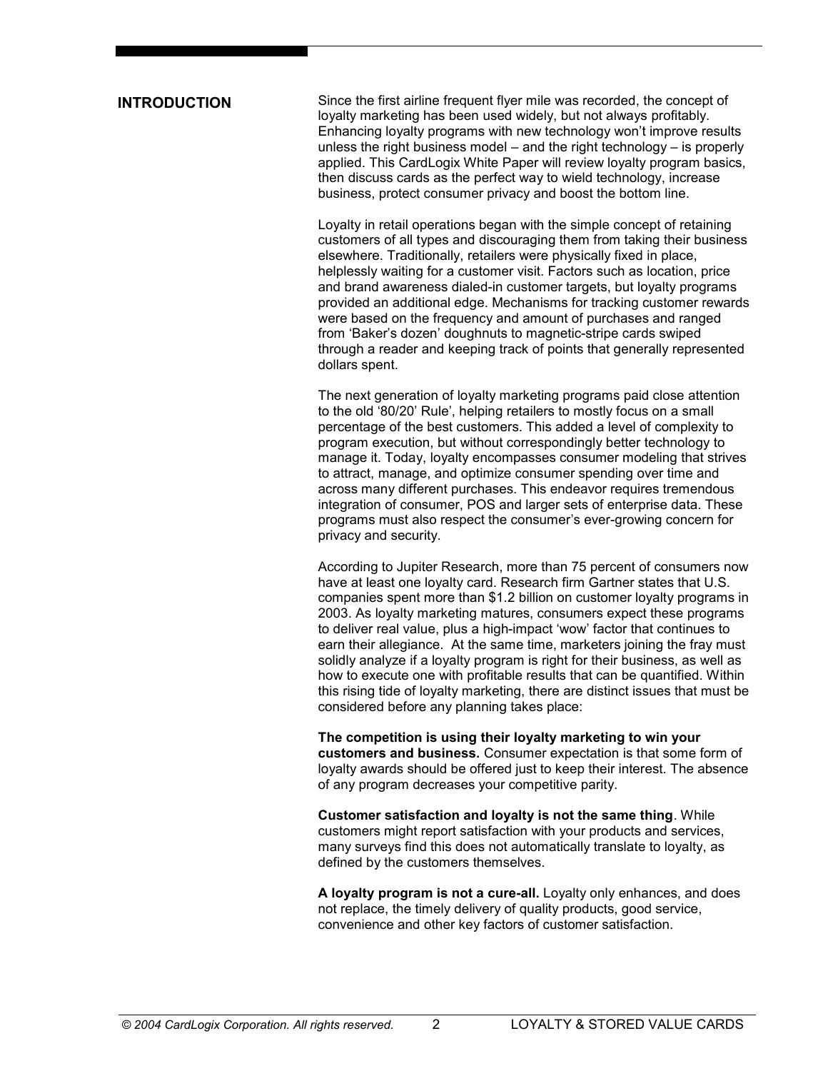#### **INTRODUCTION**

Since the first airline frequent flyer mile was recorded, the concept of loyalty marketing has been used widely, but not always profitably. Enhancing loyalty programs with new technology won't improve results unless the right business model – and the right technology – is properly applied. This CardLogix White Paper will review loyalty program basics, then discuss cards as the perfect way to wield technology, increase business, protect consumer privacy and boost the bottom line.

Loyalty in retail operations began with the simple concept of retaining customers of all types and discouraging them from taking their business elsewhere. Traditionally, retailers were physically fixed in place, helplessly waiting for a customer visit. Factors such as location, price and brand awareness dialed-in customer targets, but loyalty programs provided an additional edge. Mechanisms for tracking customer rewards were based on the frequency and amount of purchases and ranged from 'Baker's dozen' doughnuts to magnetic-stripe cards swiped through a reader and keeping track of points that generally represented dollars spent.

The next generation of loyalty marketing programs paid close attention to the old '80/20' Rule', helping retailers to mostly focus on a small percentage of the best customers. This added a level of complexity to program execution, but without correspondingly better technology to manage it. Today, loyalty encompasses consumer modeling that strives to attract, manage, and optimize consumer spending over time and across many different purchases. This endeavor requires tremendous integration of consumer, POS and larger sets of enterprise data. These programs must also respect the consumer's ever-growing concern for privacy and security.

According to Jupiter Research, more than 75 percent of consumers now have at least one loyalty card. Research firm Gartner states that U.S. companies spent more than \$1.2 billion on customer loyalty programs in 2003. As loyalty marketing matures, consumers expect these programs to deliver real value, plus a high-impact 'wow' factor that continues to earn their allegiance. At the same time, marketers joining the fray must solidly analyze if a loyalty program is right for their business, as well as how to execute one with profitable results that can be quantified. Within this rising tide of loyalty marketing, there are distinct issues that must be considered before any planning takes place:

**The competition is using their loyalty marketing to win your customers and business.** Consumer expectation is that some form of loyalty awards should be offered just to keep their interest. The absence of any program decreases your competitive parity.

**Customer satisfaction and loyalty is not the same thing**. While customers might report satisfaction with your products and services, many surveys find this does not automatically translate to loyalty, as defined by the customers themselves.

**A loyalty program is not a cure-all.** Loyalty only enhances, and does not replace, the timely delivery of quality products, good service, convenience and other key factors of customer satisfaction.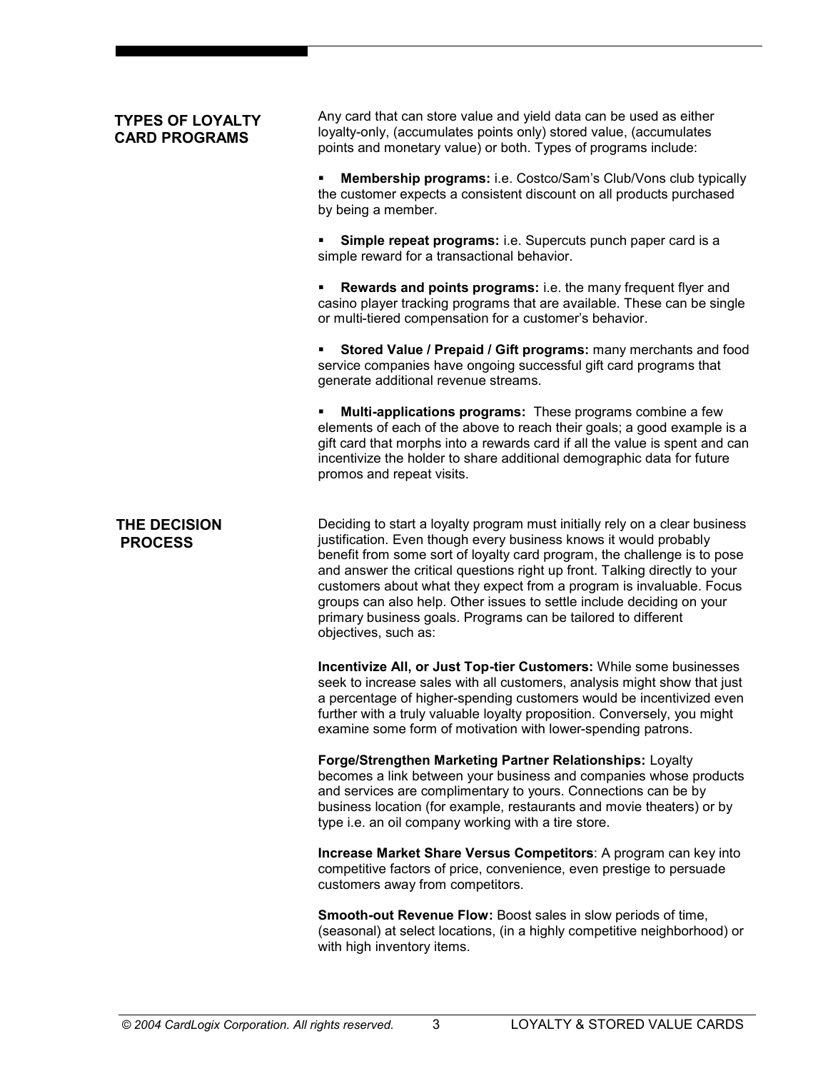## **TYPES OF LOYALTY CARD PROGRAMS**

Any card that can store value and yield data can be used as either loyalty-only, (accumulates points only) stored value, (accumulates points and monetary value) or both. Types of programs include:

ß **Membership programs:** i.e. Costco/Sam's Club/Vons club typically the customer expects a consistent discount on all products purchased by being a member.

ß **Simple repeat programs:** i.e. Supercuts punch paper card is a simple reward for a transactional behavior.

ß **Rewards and points programs:** i.e. the many frequent flyer and casino player tracking programs that are available. These can be single or multi-tiered compensation for a customer's behavior.

ß **Stored Value / Prepaid / Gift programs:** many merchants and food service companies have ongoing successful gift card programs that generate additional revenue streams.

ß **Multi-applications programs:** These programs combine a few elements of each of the above to reach their goals; a good example is a gift card that morphs into a rewards card if all the value is spent and can incentivize the holder to share additional demographic data for future promos and repeat visits.

Deciding to start a loyalty program must initially rely on a clear business justification. Even though every business knows it would probably benefit from some sort of loyalty card program, the challenge is to pose and answer the critical questions right up front. Talking directly to your customers about what they expect from a program is invaluable. Focus groups can also help. Other issues to settle include deciding on your primary business goals. Programs can be tailored to different objectives, such as: **THE DECISION PROCESS**

> **Incentivize All, or Just Top-tier Customers:** While some businesses seek to increase sales with all customers, analysis might show that just a percentage of higher-spending customers would be incentivized even further with a truly valuable loyalty proposition. Conversely, you might examine some form of motivation with lower-spending patrons.

> **Forge/Strengthen Marketing Partner Relationships:** Loyalty becomes a link between your business and companies whose products and services are complimentary to yours. Connections can be by business location (for example, restaurants and movie theaters) or by type i.e. an oil company working with a tire store.

> **Increase Market Share Versus Competitors**: A program can key into competitive factors of price, convenience, even prestige to persuade customers away from competitors.

> **Smooth-out Revenue Flow:** Boost sales in slow periods of time, (seasonal) at select locations, (in a highly competitive neighborhood) or with high inventory items.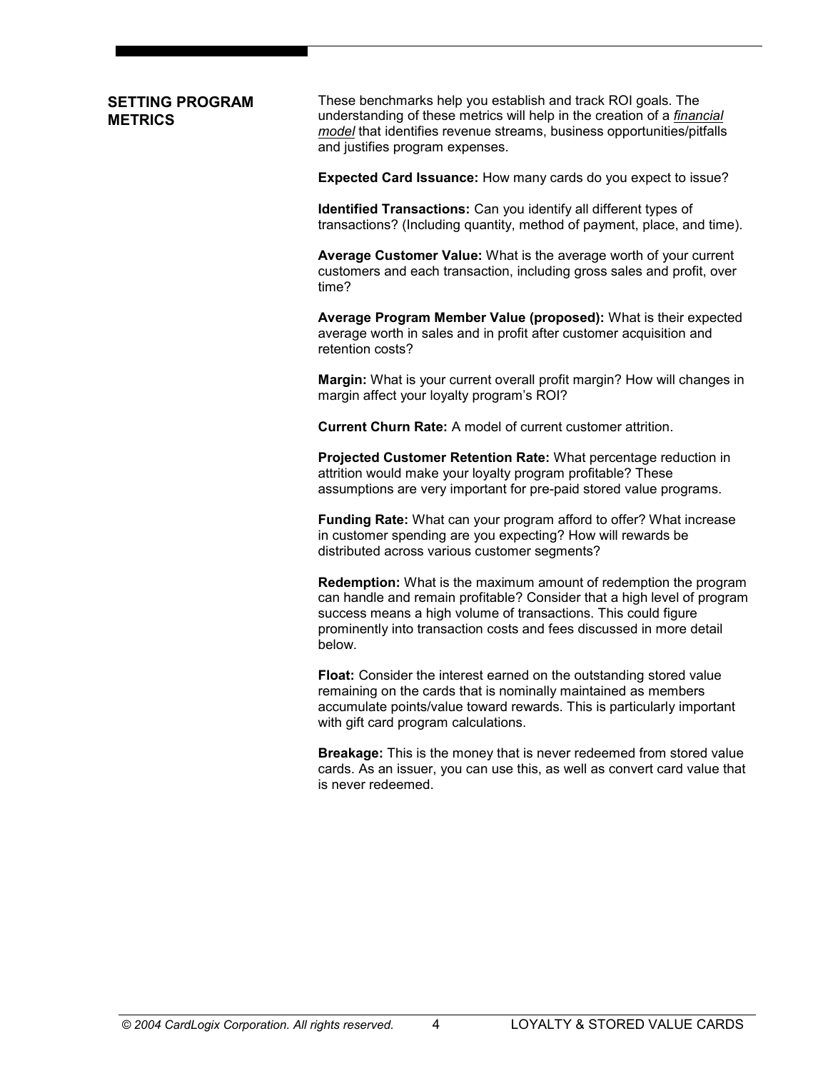## **SETTING PROGRAM METRICS**

These benchmarks help you establish and track ROI goals. The understanding of these metrics will help in the creation of a *financial model* that identifies revenue streams, business opportunities/pitfalls and justifies program expenses.

**Expected Card Issuance:** How many cards do you expect to issue?

**Identified Transactions:** Can you identify all different types of transactions? (Including quantity, method of payment, place, and time).

**Average Customer Value:** What is the average worth of your current customers and each transaction, including gross sales and profit, over time?

**Average Program Member Value (proposed):** What is their expected average worth in sales and in profit after customer acquisition and retention costs?

**Margin:** What is your current overall profit margin? How will changes in margin affect your loyalty program's ROI?

**Current Churn Rate:** A model of current customer attrition.

**Projected Customer Retention Rate:** What percentage reduction in attrition would make your loyalty program profitable? These assumptions are very important for pre-paid stored value programs.

**Funding Rate:** What can your program afford to offer? What increase in customer spending are you expecting? How will rewards be distributed across various customer segments?

**Redemption:** What is the maximum amount of redemption the program can handle and remain profitable? Consider that a high level of program success means a high volume of transactions. This could figure prominently into transaction costs and fees discussed in more detail below.

**Float:** Consider the interest earned on the outstanding stored value remaining on the cards that is nominally maintained as members accumulate points/value toward rewards. This is particularly important with gift card program calculations.

**Breakage:** This is the money that is never redeemed from stored value cards. As an issuer, you can use this, as well as convert card value that is never redeemed.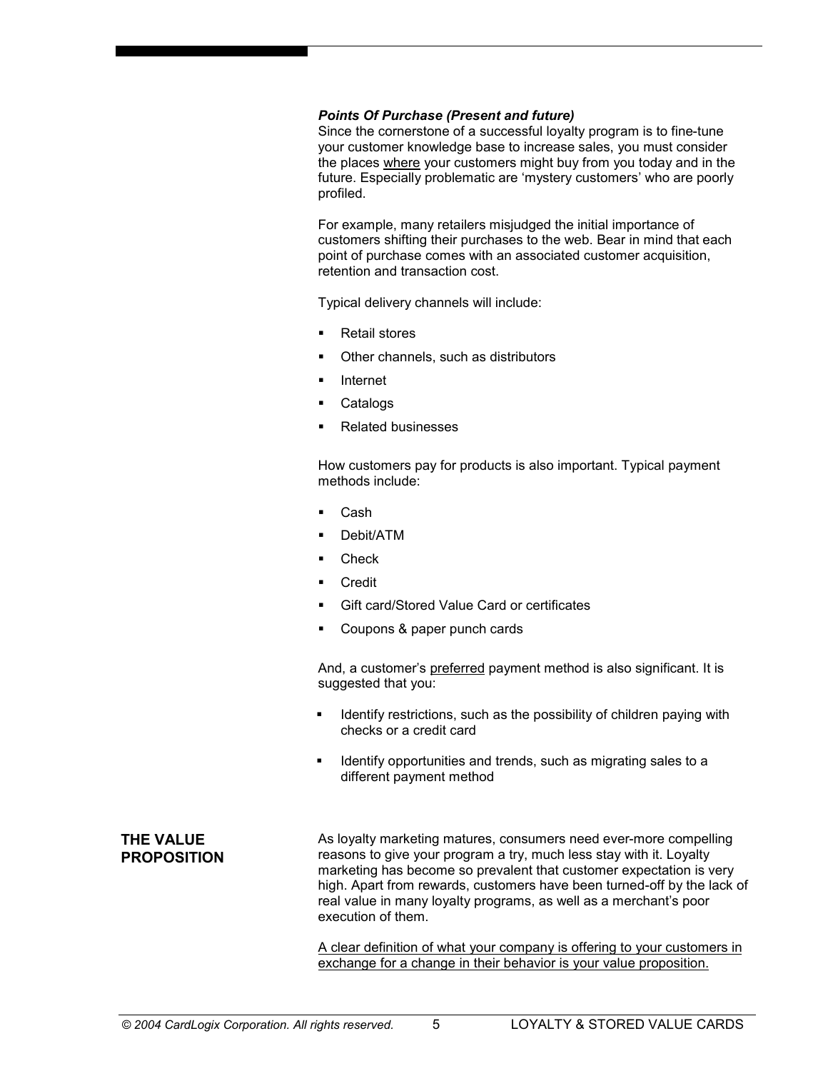#### *Points Of Purchase (Present and future)*

Since the cornerstone of a successful loyalty program is to fine-tune your customer knowledge base to increase sales, you must consider the places where your customers might buy from you today and in the future. Especially problematic are 'mystery customers' who are poorly profiled.

For example, many retailers misjudged the initial importance of customers shifting their purchases to the web. Bear in mind that each point of purchase comes with an associated customer acquisition, retention and transaction cost.

Typical delivery channels will include:

- ß Retail stores
- ß Other channels, such as distributors
- **Internet**
- **Catalogs**
- ß Related businesses

How customers pay for products is also important. Typical payment methods include:

- Cash
- Debit/ATM
- **Check**
- **Credit**
- ß Gift card/Stored Value Card or certificates
- ß Coupons & paper punch cards

And, a customer's preferred payment method is also significant. It is suggested that you:

- Identify restrictions, such as the possibility of children paying with checks or a credit card
- Identify opportunities and trends, such as migrating sales to a different payment method

**THE VALUE PROPOSITION** As loyalty marketing matures, consumers need ever-more compelling reasons to give your program a try, much less stay with it. Loyalty marketing has become so prevalent that customer expectation is very high. Apart from rewards, customers have been turned-off by the lack of real value in many loyalty programs, as well as a merchant's poor execution of them.

A clear definition of what your company is offering to your customers in exchange for a change in their behavior is your value proposition.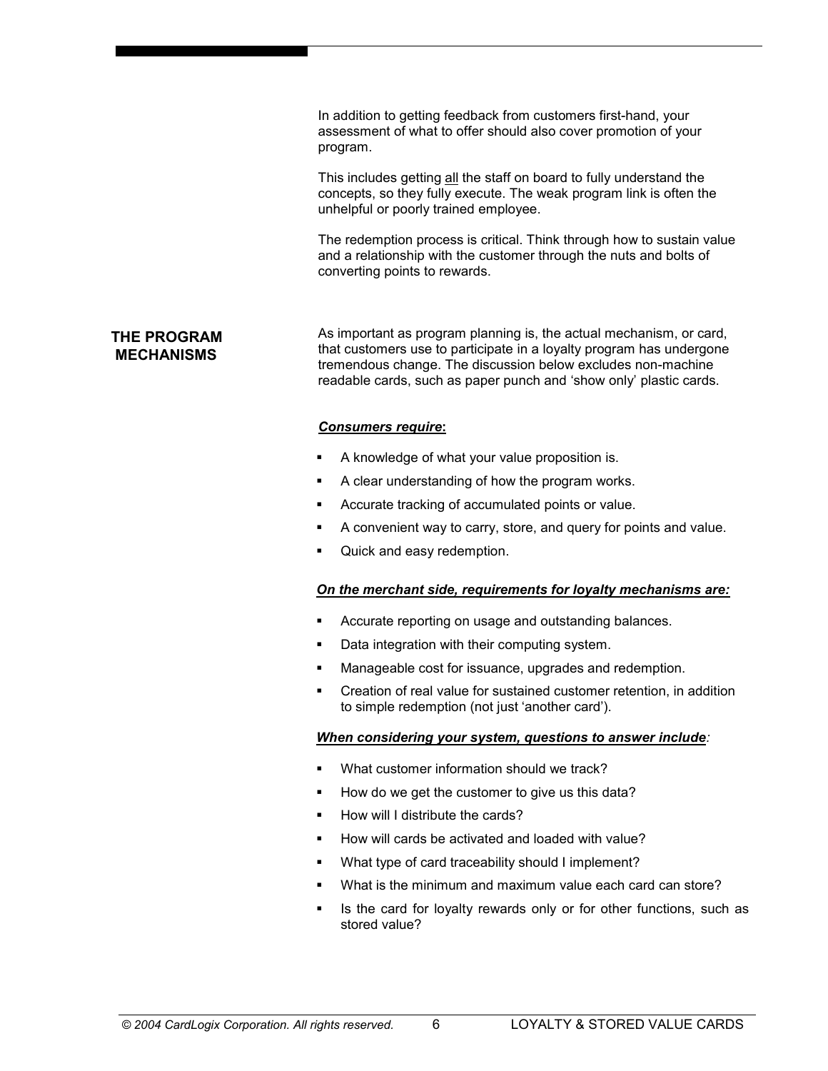In addition to getting feedback from customers first-hand, your assessment of what to offer should also cover promotion of your program.

This includes getting all the staff on board to fully understand the concepts, so they fully execute. The weak program link is often the unhelpful or poorly trained employee.

The redemption process is critical. Think through how to sustain value and a relationship with the customer through the nuts and bolts of converting points to rewards.

## **THE PROGRAM MECHANISMS**

As important as program planning is, the actual mechanism, or card, that customers use to participate in a loyalty program has undergone tremendous change. The discussion below excludes non-machine readable cards, such as paper punch and 'show only' plastic cards.

#### *Consumers require***:**

- ß A knowledge of what your value proposition is.
- ß A clear understanding of how the program works.
- ß Accurate tracking of accumulated points or value.
- ß A convenient way to carry, store, and query for points and value.
- Quick and easy redemption.

#### *On the merchant side, requirements for loyalty mechanisms are:*

- ß Accurate reporting on usage and outstanding balances.
- Data integration with their computing system.
- Manageable cost for issuance, upgrades and redemption.
- ß Creation of real value for sustained customer retention, in addition to simple redemption (not just 'another card').

#### *When considering your system, questions to answer include:*

- What customer information should we track?
- How do we get the customer to give us this data?
- ß How will I distribute the cards?
- ß How will cards be activated and loaded with value?
- What type of card traceability should I implement?
- What is the minimum and maximum value each card can store?
- ß Is the card for loyalty rewards only or for other functions, such as stored value?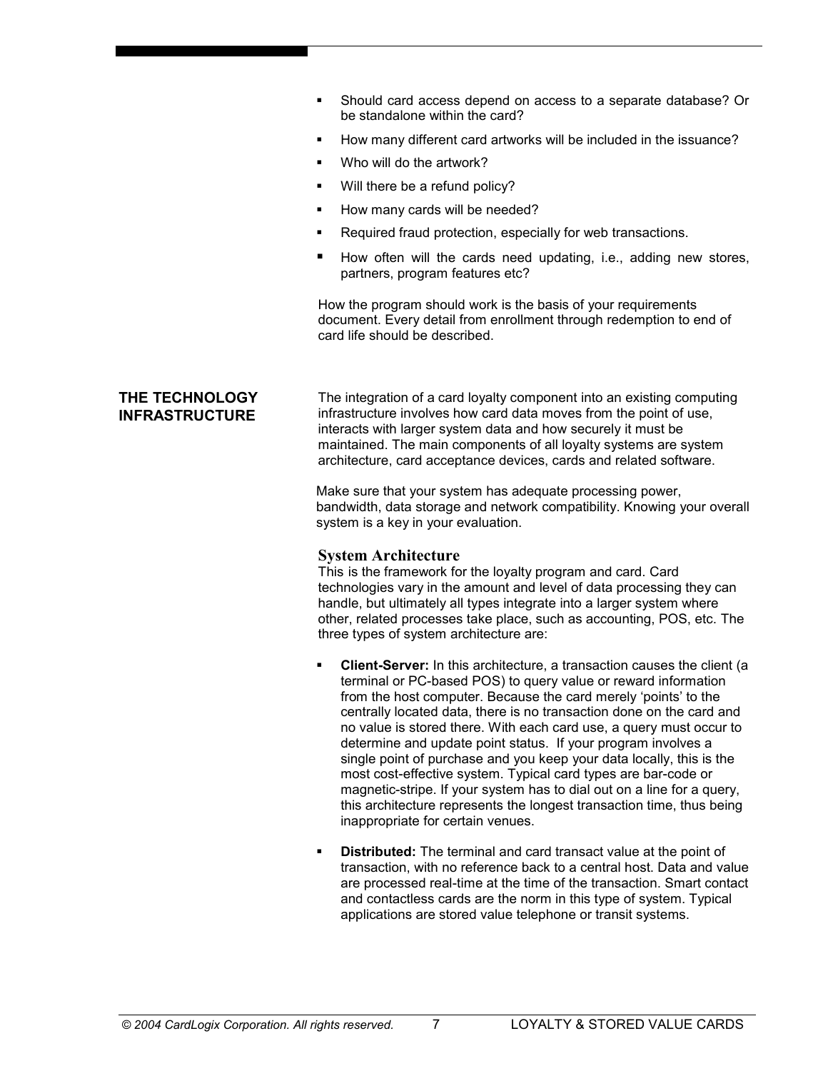- ß Should card access depend on access to a separate database? Or be standalone within the card?
- How many different card artworks will be included in the issuance?
- Who will do the artwork?
- Will there be a refund policy?
- ß How many cards will be needed?
- ß Required fraud protection, especially for web transactions.
- ß How often will the cards need updating, i.e., adding new stores, partners, program features etc?

How the program should work is the basis of your requirements document. Every detail from enrollment through redemption to end of card life should be described.

## **THE TECHNOLOGY INFRASTRUCTURE**

The integration of a card loyalty component into an existing computing infrastructure involves how card data moves from the point of use, interacts with larger system data and how securely it must be maintained. The main components of all loyalty systems are system architecture, card acceptance devices, cards and related software.

Make sure that your system has adequate processing power, bandwidth, data storage and network compatibility. Knowing your overall system is a key in your evaluation.

#### **System Architecture**

This is the framework for the loyalty program and card. Card technologies vary in the amount and level of data processing they can handle, but ultimately all types integrate into a larger system where other, related processes take place, such as accounting, POS, etc. The three types of system architecture are:

- ß **Client-Server:** In this architecture, a transaction causes the client (a terminal or PC-based POS) to query value or reward information from the host computer. Because the card merely 'points' to the centrally located data, there is no transaction done on the card and no value is stored there. With each card use, a query must occur to determine and update point status. If your program involves a single point of purchase and you keep your data locally, this is the most cost-effective system. Typical card types are bar-code or magnetic-stripe. If your system has to dial out on a line for a query, this architecture represents the longest transaction time, thus being inappropriate for certain venues.
- ß **Distributed:** The terminal and card transact value at the point of transaction, with no reference back to a central host. Data and value are processed real-time at the time of the transaction. Smart contact and contactless cards are the norm in this type of system. Typical applications are stored value telephone or transit systems.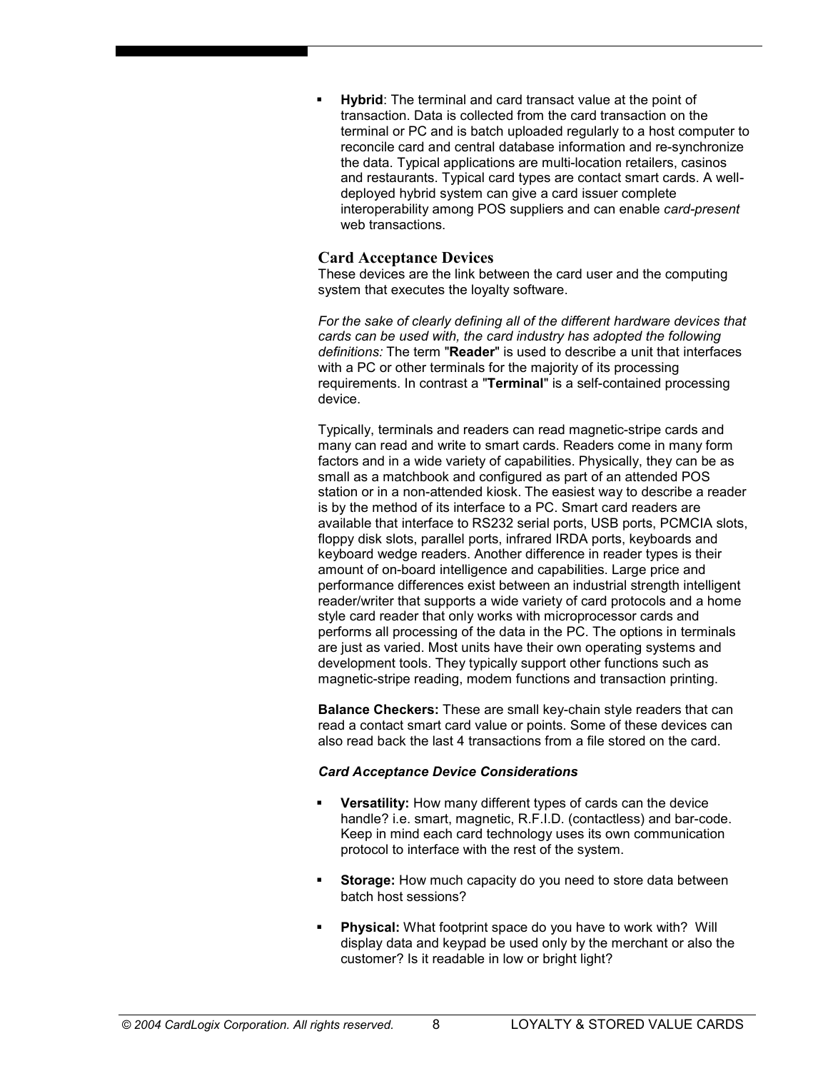ß **Hybrid**: The terminal and card transact value at the point of transaction. Data is collected from the card transaction on the terminal or PC and is batch uploaded regularly to a host computer to reconcile card and central database information and re-synchronize the data. Typical applications are multi-location retailers, casinos and restaurants. Typical card types are contact smart cards. A welldeployed hybrid system can give a card issuer complete interoperability among POS suppliers and can enable *card-present* web transactions.

#### **Card Acceptance Devices**

These devices are the link between the card user and the computing system that executes the loyalty software.

*For the sake of clearly defining all of the different hardware devices that cards can be used with, the card industry has adopted the following definitions:* The term "**Reader**" is used to describe a unit that interfaces with a PC or other terminals for the majority of its processing requirements. In contrast a "**Terminal**" is a self-contained processing device.

Typically, terminals and readers can read magnetic-stripe cards and many can read and write to smart cards. Readers come in many form factors and in a wide variety of capabilities. Physically, they can be as small as a matchbook and configured as part of an attended POS station or in a non-attended kiosk. The easiest way to describe a reader is by the method of its interface to a PC. Smart card readers are available that interface to RS232 serial ports, USB ports, PCMCIA slots, floppy disk slots, parallel ports, infrared IRDA ports, keyboards and keyboard wedge readers. Another difference in reader types is their amount of on-board intelligence and capabilities. Large price and performance differences exist between an industrial strength intelligent reader/writer that supports a wide variety of card protocols and a home style card reader that only works with microprocessor cards and performs all processing of the data in the PC. The options in terminals are just as varied. Most units have their own operating systems and development tools. They typically support other functions such as magnetic-stripe reading, modem functions and transaction printing.

**Balance Checkers:** These are small key-chain style readers that can read a contact smart card value or points. Some of these devices can also read back the last 4 transactions from a file stored on the card.

#### *Card Acceptance Device Considerations*

- ß **Versatility:** How many different types of cards can the device handle? i.e. smart, magnetic, R.F.I.D. (contactless) and bar-code. Keep in mind each card technology uses its own communication protocol to interface with the rest of the system.
- ß **Storage:** How much capacity do you need to store data between batch host sessions?
- ß **Physical:** What footprint space do you have to work with? Will display data and keypad be used only by the merchant or also the customer? Is it readable in low or bright light?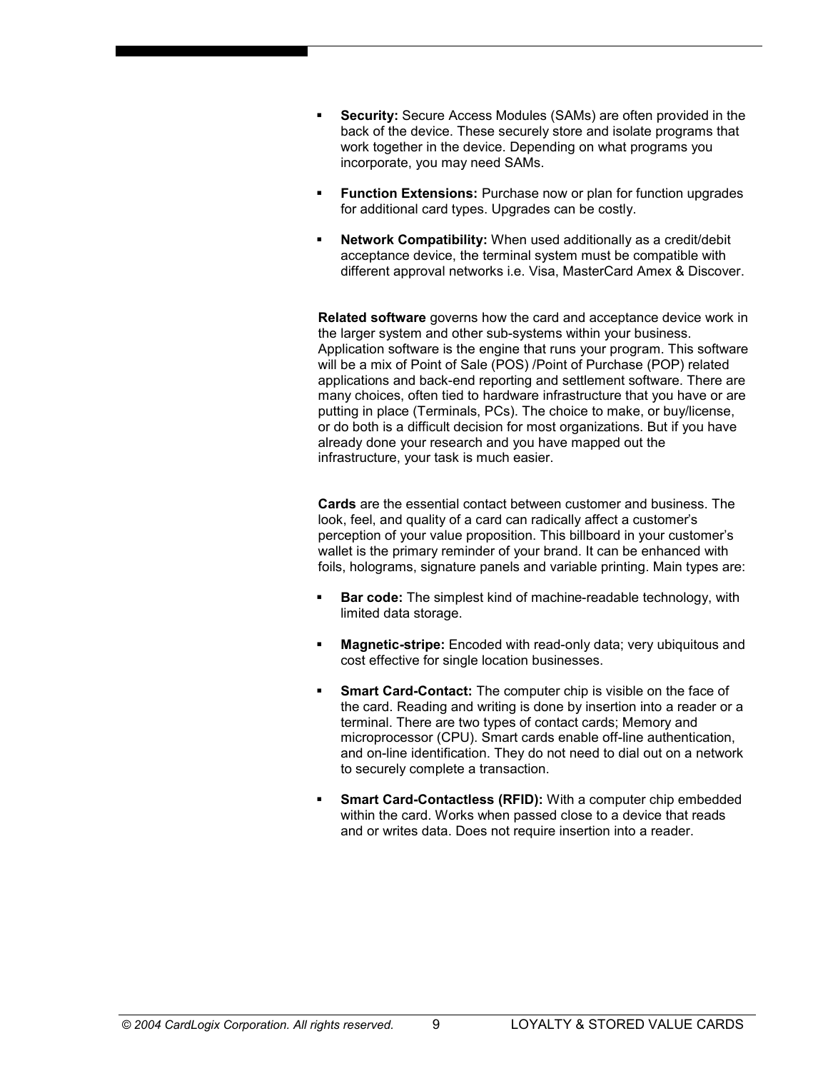- ß **Security:** Secure Access Modules (SAMs) are often provided in the back of the device. These securely store and isolate programs that work together in the device. Depending on what programs you incorporate, you may need SAMs.
- **Function Extensions:** Purchase now or plan for function upgrades for additional card types. Upgrades can be costly.
- ß **Network Compatibility:** When used additionally as a credit/debit acceptance device, the terminal system must be compatible with different approval networks i.e. Visa, MasterCard Amex & Discover.

**Related software** governs how the card and acceptance device work in the larger system and other sub-systems within your business. Application software is the engine that runs your program. This software will be a mix of Point of Sale (POS) /Point of Purchase (POP) related applications and back-end reporting and settlement software. There are many choices, often tied to hardware infrastructure that you have or are putting in place (Terminals, PCs). The choice to make, or buy/license, or do both is a difficult decision for most organizations. But if you have already done your research and you have mapped out the infrastructure, your task is much easier.

**Cards** are the essential contact between customer and business. The look, feel, and quality of a card can radically affect a customer's perception of your value proposition. This billboard in your customer's wallet is the primary reminder of your brand. It can be enhanced with foils, holograms, signature panels and variable printing. Main types are:

- ß **Bar code:** The simplest kind of machine-readable technology, with limited data storage.
- ß **Magnetic-stripe:** Encoded with read-only data; very ubiquitous and cost effective for single location businesses.
- ß **Smart Card-Contact:** The computer chip is visible on the face of the card. Reading and writing is done by insertion into a reader or a terminal. There are two types of contact cards; Memory and microprocessor (CPU). Smart cards enable off-line authentication, and on-line identification. They do not need to dial out on a network to securely complete a transaction.
- ß **Smart Card-Contactless (RFID):** With a computer chip embedded within the card. Works when passed close to a device that reads and or writes data. Does not require insertion into a reader.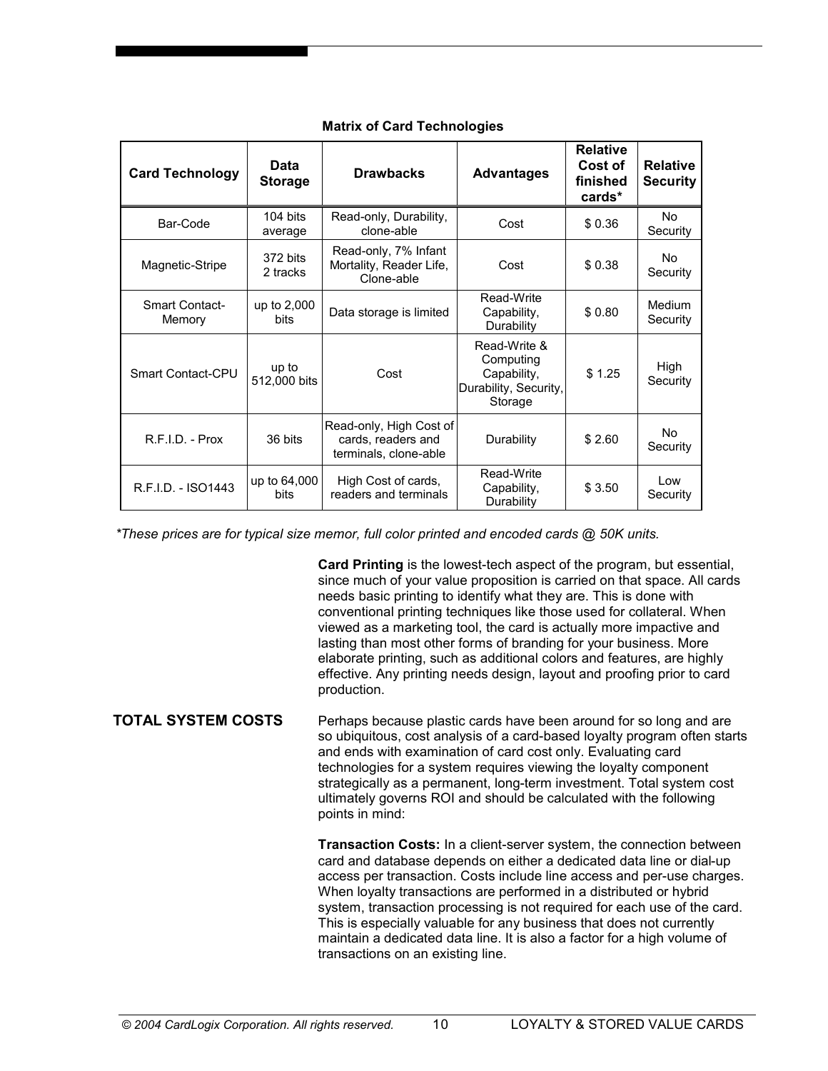| <b>Card Technology</b>          | Data<br><b>Storage</b> | <b>Drawbacks</b>                                                       | <b>Advantages</b>                                                            | <b>Relative</b><br>Cost of<br>finished<br>cards* | <b>Relative</b><br><b>Security</b> |
|---------------------------------|------------------------|------------------------------------------------------------------------|------------------------------------------------------------------------------|--------------------------------------------------|------------------------------------|
| Bar-Code                        | 104 bits<br>average    | Read-only, Durability,<br>clone-able                                   | Cost                                                                         | \$0.36                                           | No<br>Security                     |
| Magnetic-Stripe                 | 372 bits<br>2 tracks   | Read-only, 7% Infant<br>Mortality, Reader Life,<br>Clone-able          | Cost                                                                         | \$0.38                                           | No<br>Security                     |
| <b>Smart Contact-</b><br>Memory | up to 2,000<br>bits    | Data storage is limited                                                | Read-Write<br>Capability,<br>Durability                                      | \$0.80                                           | Medium<br>Security                 |
| <b>Smart Contact-CPU</b>        | up to<br>512,000 bits  | Cost                                                                   | Read-Write &<br>Computing<br>Capability,<br>Durability, Security,<br>Storage | \$1.25                                           | High<br>Security                   |
| $R.F.I.D. - Prox$               | 36 bits                | Read-only, High Cost of<br>cards, readers and<br>terminals, clone-able | Durability                                                                   | \$2.60                                           | Nο.<br>Security                    |
| R.F.I.D. - ISO1443              | up to 64,000<br>bits   | High Cost of cards,<br>readers and terminals                           | Read-Write<br>Capability,<br>Durability                                      | \$3.50                                           | l ow<br>Security                   |

## **Matrix of Card Technologies**

*\*These prices are for typical size memor, full color printed and encoded cards* @ *50K units.*

**Card Printing** is the lowest-tech aspect of the program, but essential, since much of your value proposition is carried on that space. All cards needs basic printing to identify what they are. This is done with conventional printing techniques like those used for collateral. When viewed as a marketing tool, the card is actually more impactive and lasting than most other forms of branding for your business. More elaborate printing, such as additional colors and features, are highly effective. Any printing needs design, layout and proofing prior to card production.

Perhaps because plastic cards have been around for so long and are so ubiquitous, cost analysis of a card-based loyalty program often starts and ends with examination of card cost only. Evaluating card technologies for a system requires viewing the loyalty component strategically as a permanent, long-term investment. Total system cost ultimately governs ROI and should be calculated with the following points in mind: **TOTAL SYSTEM COSTS**

> **Transaction Costs:** In a client-server system, the connection between card and database depends on either a dedicated data line or dial-up access per transaction. Costs include line access and per-use charges. When loyalty transactions are performed in a distributed or hybrid system, transaction processing is not required for each use of the card. This is especially valuable for any business that does not currently maintain a dedicated data line. It is also a factor for a high volume of transactions on an existing line.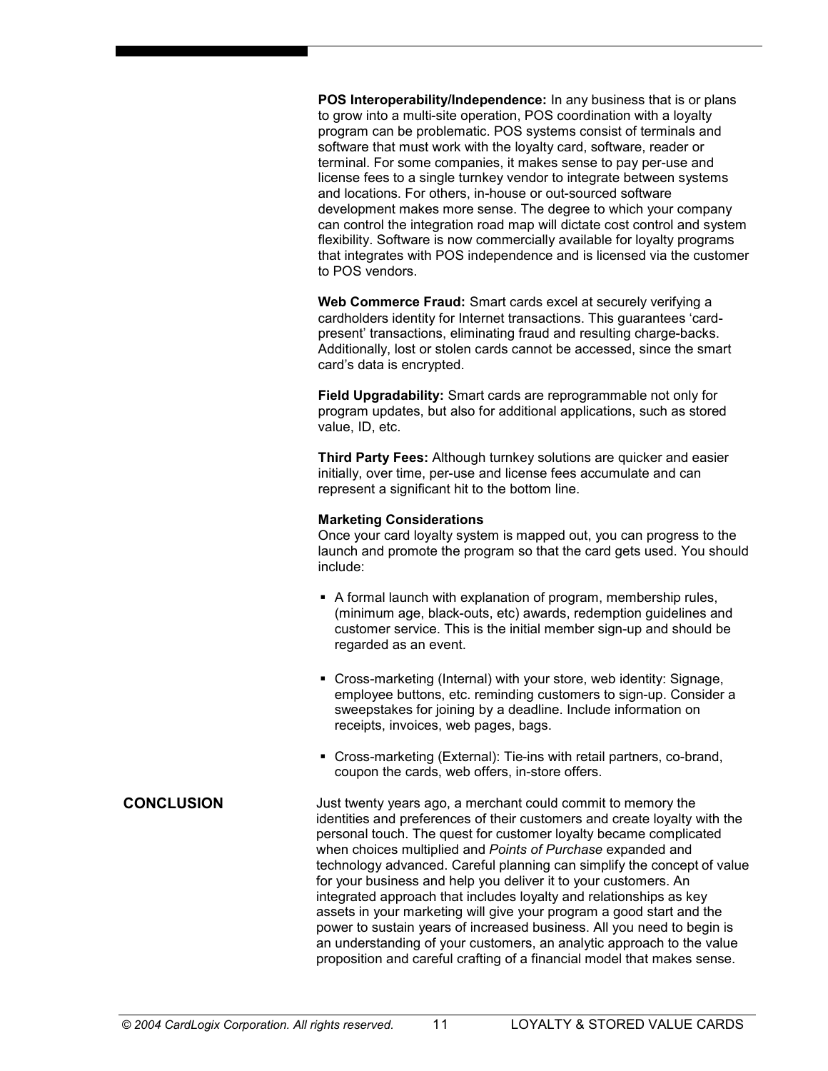**POS Interoperability/Independence:** In any business that is or plans to grow into a multi-site operation, POS coordination with a loyalty program can be problematic. POS systems consist of terminals and software that must work with the loyalty card, software, reader or terminal. For some companies, it makes sense to pay per-use and license fees to a single turnkey vendor to integrate between systems and locations. For others, in-house or out-sourced software development makes more sense. The degree to which your company can control the integration road map will dictate cost control and system flexibility. Software is now commercially available for loyalty programs that integrates with POS independence and is licensed via the customer to POS vendors.

**Web Commerce Fraud:** Smart cards excel at securely verifying a cardholders identity for Internet transactions. This guarantees 'cardpresent' transactions, eliminating fraud and resulting charge-backs. Additionally, lost or stolen cards cannot be accessed, since the smart card's data is encrypted.

**Field Upgradability:** Smart cards are reprogrammable not only for program updates, but also for additional applications, such as stored value, ID, etc.

**Third Party Fees:** Although turnkey solutions are quicker and easier initially, over time, per-use and license fees accumulate and can represent a significant hit to the bottom line.

#### **Marketing Considerations**

Once your card loyalty system is mapped out, you can progress to the launch and promote the program so that the card gets used. You should include:

- A formal launch with explanation of program, membership rules, (minimum age, black-outs, etc) awards, redemption guidelines and customer service. This is the initial member sign-up and should be regarded as an event.
- Cross-marketing (Internal) with your store, web identity: Signage, employee buttons, etc. reminding customers to sign-up. Consider a sweepstakes for joining by a deadline. Include information on receipts, invoices, web pages, bags.
- ß Cross-marketing (External): Tie-ins with retail partners, co-brand, coupon the cards, web offers, in-store offers.
- Just twenty years ago, a merchant could commit to memory the identities and preferences of their customers and create loyalty with the personal touch. The quest for customer loyalty became complicated when choices multiplied and *Points of Purchase* expanded and technology advanced. Careful planning can simplify the concept of value for your business and help you deliver it to your customers. An integrated approach that includes loyalty and relationships as key assets in your marketing will give your program a good start and the power to sustain years of increased business. All you need to begin is an understanding of your customers, an analytic approach to the value proposition and careful crafting of a financial model that makes sense.

## **CONCLUSION**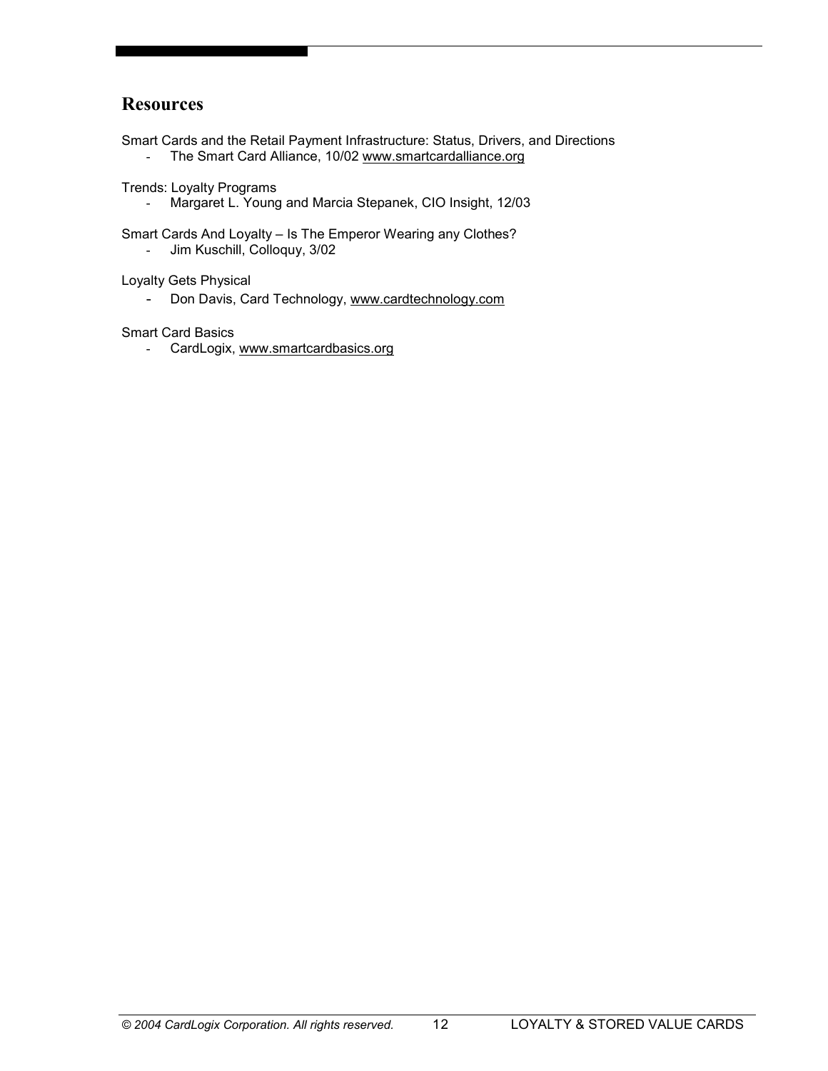## **Resources**

Smart Cards and the Retail Payment Infrastructure: Status, Drivers, and Directions

- The Smart Card Alliance, 10/02 www.smartcardalliance.org

Trends: Loyalty Programs

- Margaret L. Young and Marcia Stepanek, CIO Insight, 12/03

Smart Cards And Loyalty – Is The Emperor Wearing any Clothes?

- Jim Kuschill, Colloquy, 3/02

Loyalty Gets Physical

- Don Davis, Card Technology, www.cardtechnology.com

Smart Card Basics

- CardLogix, www.smartcardbasics.org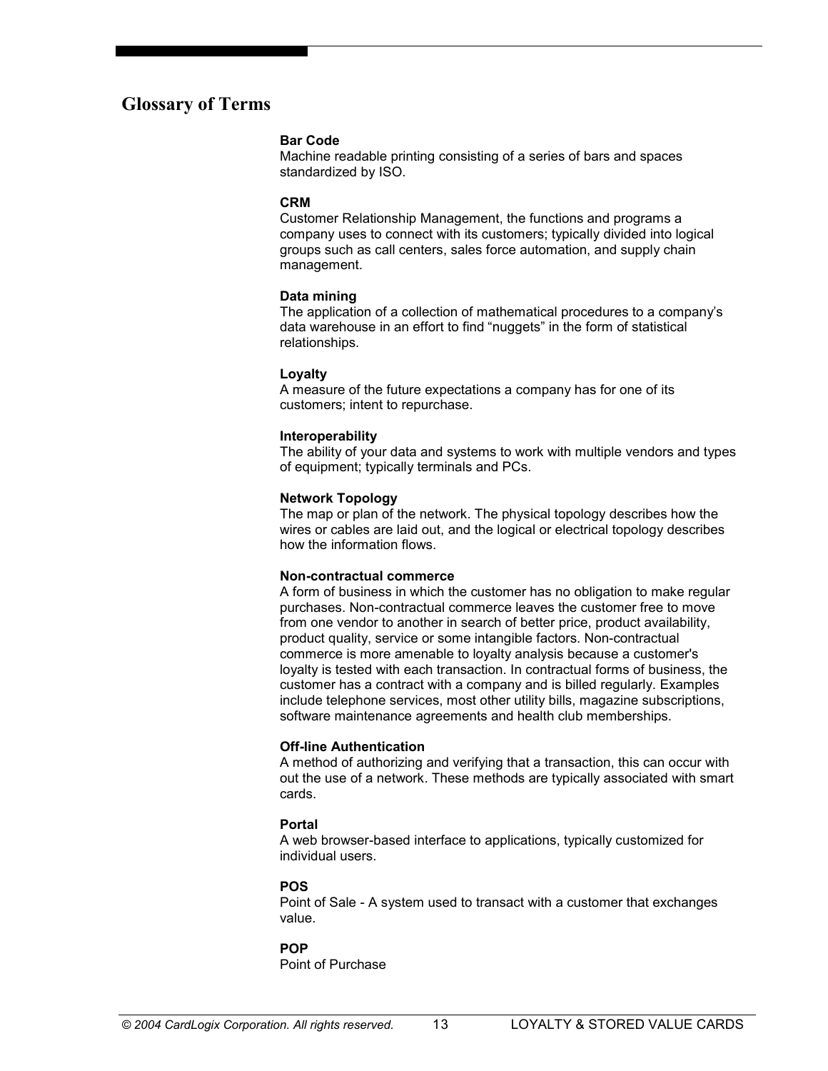## **Glossary of Terms**

#### **Bar Code**

Machine readable printing consisting of a series of bars and spaces standardized by ISO.

#### **CRM**

Customer Relationship Management, the functions and programs a company uses to connect with its customers; typically divided into logical groups such as call centers, sales force automation, and supply chain management.

#### **Data mining**

The application of a collection of mathematical procedures to a company's data warehouse in an effort to find "nuggets" in the form of statistical relationships.

#### **Loyalty**

A measure of the future expectations a company has for one of its customers; intent to repurchase.

#### **Interoperability**

The ability of your data and systems to work with multiple vendors and types of equipment; typically terminals and PCs.

#### **Network Topology**

The map or plan of the network. The physical topology describes how the wires or cables are laid out, and the logical or electrical topology describes how the information flows.

#### **Non-contractual commerce**

A form of business in which the customer has no obligation to make regular purchases. Non-contractual commerce leaves the customer free to move from one vendor to another in search of better price, product availability, product quality, service or some intangible factors. Non-contractual commerce is more amenable to loyalty analysis because a customer's loyalty is tested with each transaction. In contractual forms of business, the customer has a contract with a company and is billed regularly. Examples include telephone services, most other utility bills, magazine subscriptions, software maintenance agreements and health club memberships.

#### **Off-line Authentication**

A method of authorizing and verifying that a transaction, this can occur with out the use of a network. These methods are typically associated with smart cards.

#### **Portal**

A web browser-based interface to applications, typically customized for individual users.

#### **POS**

Point of Sale - A system used to transact with a customer that exchanges value.

#### **POP**

Point of Purchase